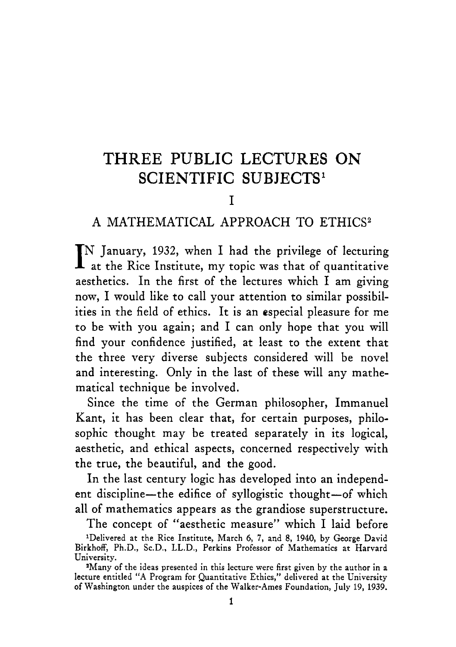# THREE PUBLIC LECTURES ON SCIENTIFIC SUBJECTS<sup>1</sup>

#### I

#### A MATHEMATICAL APPROACH TO ETHICS<sup>2</sup>

anuary, 1932, when I had the privilege of lecturing aesthetics. In the first of the lectures which I am giving now, I would like to call your attention to similar possibilities in the field of ethics. It is an especial pleasure for me to be with you again; and I can only hope that you will find your confidence justified, at least to the extent that the three very diverse subjects considered will be novel and interesting. Only in the last of these will any mathematical technique be involved. I'v *January*, 1962, when I had the privinge of rectaining at the Rice Institute, my topic was that of quantitative

Since the time of the German philosopher, Immanuel Kant, it has been clear that, for certain purposes, philosophic thought may be treated separately in its logical, aesthetic, and ethical aspects, concerned respectively with the true, the beautiful, and the good.

In the last century logic has developed into an independent discipline-the edifice of syllogistic thought-of which all of mathematics appears as the grandiose superstructure.

The concept of "aesthetic measure" which I laid before 'Delivered at the Rice Institute, March *6,* 7, and 8, 1940, by George David Birkhoff, Ph.D., Sc.D., LL.D., Perkins Professor of Mathematics at Harvard University.

<sup>2</sup>Many of the ideas presented in this lecture were first given by the author in a lecture entitled **"A** Program for Quantitative Ethics," delivered at the University of Washington under the auspices of the Walker-Ames Foundation, July 19, 1939.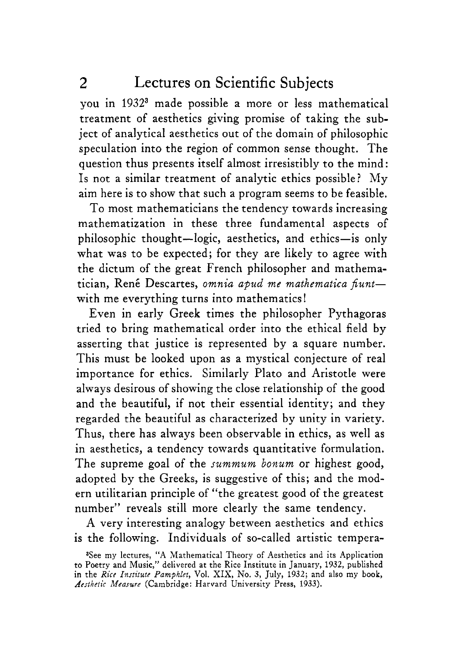you in **19323** made possible a more or less mathematical treatment of aesthetics giving promise of taking the subject of analytical aesthetics out of the domain of philosophic speculation into the region of common sense thought. The question thus presents itself almost irresistibly to the mind: Is not a similar treatment of analytic ethics possible? My aim here is to show that such a program seems to be feasible.

To most mathematicians the tendency towards increasing mathematization in these three fundamental aspects of philosophic thought-logic, aesthetics, and ethics-is only what was to be expected; for they are likely to agree with the dictum of the great French philosopher and mathematician, Ren6 Descartes, *omnia apud me mathernatica jiunt*with me everything turns into mathematics!

Even in early Greek times the philosopher Pythagoras tried to bring mathematical order into the ethical field by asserting that justice is represented by a square number. This must be looked upon as a mystical conjecture of real importance for ethics. Similarly Plato and Aristotle were always desirous of showing the close relationship of the good and the beautiful, if not their essential identity; and they regarded the beautiful as characterized by unity in variety. Thus, there has always been observable in ethics, as well as in aesthetics, a tendency towards quantitative formulation. The supreme goal of the *Jummum bonum* or highest good, adopted by the Greeks, is suggestive of this; and the modern utilitarian principle of "the greatest good of the greatest number" reveals still more clearly the same tendency.

**A** very interesting analogy between aesthetics and ethics is the following. Individuals of so-called artistic tempera-

<sup>\*</sup>See my lectures, **"A** Mathematical Theory of Aesthetics and its Application to Poetry and Music," delivered at the Rice Institute in January, 1932, published in the *Rice Institute Pamphlet,* Vol. XIX, No. 3, July, 1932; and also my **book,**  *Aesthetic Measure* (Cambridge: Harvard University Press, 1933).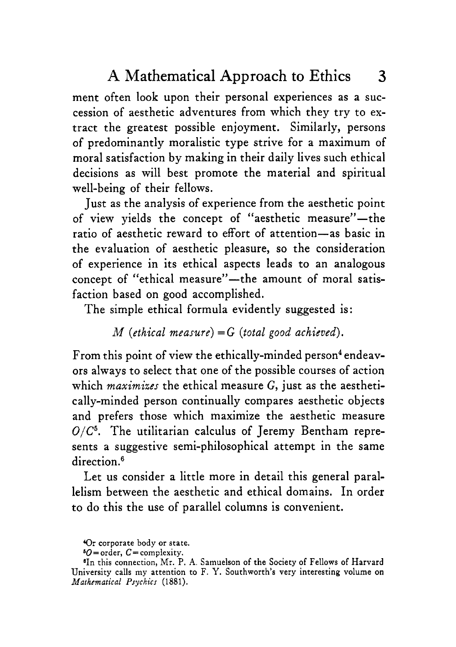ment often look upon their personal experiences as a succession of aesthetic adventures from which they try to extract the greatest possible enjoyment. Similarly, persons of predominantly moralistic type strive for a maximum of moral satisfaction by making in their daily lives such ethical decisions as will best promote the material and spiritual well-being of their fellows.

Just as the analysis of experience from the aesthetic point of view yields the concept of "aesthetic measure"-the ratio of aesthetic reward to effort of attention-as basic in the evaluation of aesthetic pleasure, so the consideration of experience in its ethical aspects leads to an analogous concept of "ethical measure"-the amount of moral satisfaction based on good accomplished.

The simple ethical formula evidently suggested is:

#### *M (ethical measure) =G (total good achieved).*

From this point of view the ethically-minded person<sup>4</sup> endeavors always to select that one of the possible courses of action which *maximizer* the ethical measure G, just as the aesthetically-minded person continually compares aesthetic objects and prefers those which maximize the aesthetic measure *O/C6.* The utilitarian calculus of Jeremy Bentham represents a suggestive semi-philosophical attempt in the same direction.<sup>6</sup>

Let us consider a little more in detail this general parallelism between the aesthetic and ethical domains. In order to do this the use of parallel columns is convenient.

<sup>&#</sup>x27;Or corporate body or state.

 $60$  = order,  $C$  = complexity.

eIn this connection, Mr. P. **A.** Samuelson of the Society of Fellows of Harvard University calls my attention to F. *Y.* Southworth's very interesting volume on *Mathematical Psychics* (1881).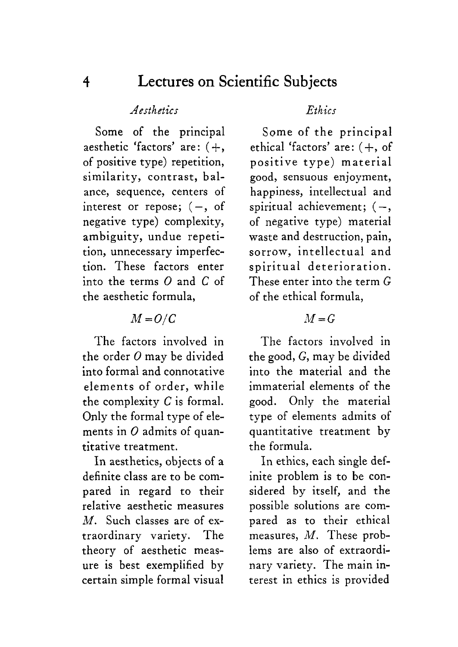#### *Aesthetics*

Some of the principal aesthetic 'factors' are: (+, of positive type) repetition, similarity, contrast, balance, sequence, centers of interest or repose;  $(-, of)$ negative type) complexity, ambiguity, undue repetition, unnecessary imperfection. These factors enter into the terms 0 and *C* of the aesthetic formula,

#### $M = O/C$

The factors involved in the order  $O$  may be divided into formal and connotative elements of order, while the complexity *C* is formal. Only the formal type of elements in  $O$  admits of quantitative treatment.

In aesthetics, objects of a definite class are to be compared in regard to their relative aesthetic measures *M.* Such classes are of extraordinary variety. The theory of aesthetic measure is best exemplified by certain simple formal visual

#### *Ethics*

Some of the principal ethical 'factors' are: (+, of positive type) material good, sensuous enjoyment, happiness, intellectual and spiritual achievement;  $(-,$ of negative type) material waste and destruction, pain, sorrow, intellectual and spiritual deterioration. These enter into the term G of the ethical formula,

#### $M = G$

The factors involved in the good, G, may be divided into the material and the immaterial elements of the good. Only the material type of elements admits of quantitative treatment by the formula.

In ethics, each single definite problem is to be considered by itself, and the possible solutions are compared as to their ethical measures, *M.* These problems are also of extraordinary variety. The main interest in ethics is provided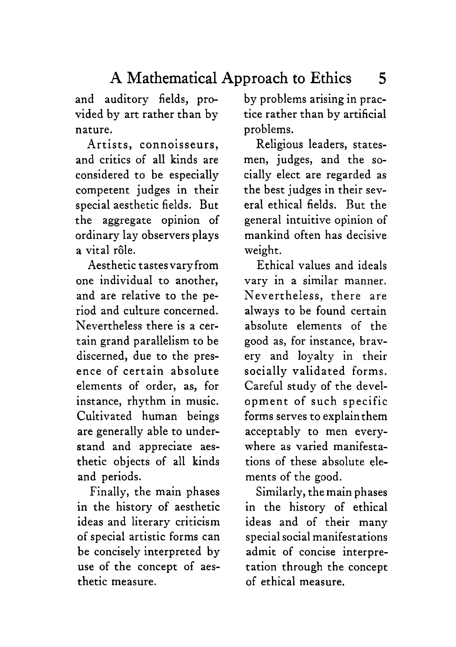and auditory fields, provided by art rather than by nature.

Artists, connoisseurs, and critics of all kinds are considered to be especially competent judges in their special aesthetic fields. But the aggregate opinion of ordinary lay observers plays a vital rôle.

Aesthetic tastes vary from one individual to another, and are relative to the period and culture concerned. Nevertheless there is a certain grand parallelism to be discerned, due to the presence of certain absolute elements of order, as, for instance, rhythm in music. Cultivated human beings are generally able to understand and appreciate aesthetic objects of all kinds and periods.

Finally, the main phases in the history of aesthetic ideas and literary criticism of special artistic forms can be concisely interpreted by use of the concept of aesthetic measure.

by problems arising in practice rather than by artificial problems.

Religious leaders, statesmen, judges, and the socially elect are regarded as the best judges in their several ethical fields. But the general intuitive opinion of mankind often has decisive weight.

Ethical values and ideals vary in a similar manner. Nevertheless, there are always to be found certain absolute elements of the good as, for instance, bravery and loyalty in their socially validated forms. Careful study of the development of such specific forms serves to explain them acceptably to men everywhere as varied manifestations of these absolute elements of the good.

Similarly, the main phases in the history of ethical ideas and of their many special social manifestations admit of concise interpretation through the concept of ethical measure.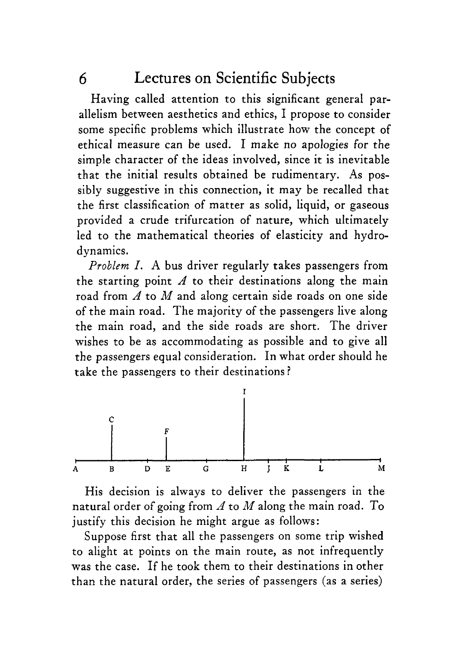Having called attention to this significant general parallelism between aesthetics and ethics, I propose to consider some specific problems which illustrate how the concept of ethical measure can be used. I make no apologies for the simple character of the ideas involved, since it is inevitable that the initial results obtained be rudimentary. **As** possibly suggestive in this connection, it may be recalled that the first classification of matter as solid, liquid, or gaseous provided a crude trifurcation of nature, which ultimately led to the mathematical theories of elasticity and hydrodynamics.

*Problem I.* **A** bus driver regularly takes passengers from the starting point  $A$  to their destinations along the main road from *A* to *M* and along certain side roads on one side of the main road. The majority of the passengers live along the main road, and the side roads are short. The driver wishes to be as accommodating as possible and to give all the passengers equal consideration. In what order should he take the passengers to their destinations ?



His decision is always to deliver the passengers in the natural order of going from *A* to *M* along the main road. To justify this decision he might argue as follows:

Suppose first that all the passengers on some trip wished to alight at points on the main route, as not infrequently was the case. If he took them to their destinations in other than the natural order, the series of passengers (as a series)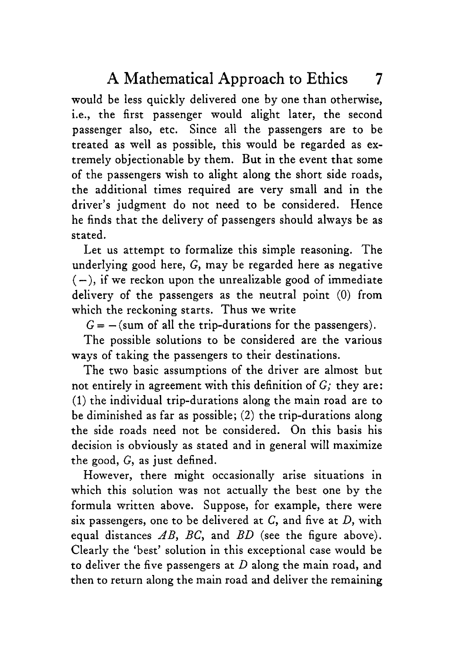would be less quickly delivered one by one than otherwise, i.e., the first passenger would alight later, the second passenger also, etc. Since all the passengers are to be treated as well as possible, this would be regarded as extremely objectionable by them. But in the event that some of the passengers wish to alight along the short side roads, the additional times required are very small and in the driver's judgment do not need to be considered. Hence he finds that the delivery of passengers should always be as stated.

Let us attempt to formalize this simple reasoning. The underlying good here, G, may be regarded here as negative  $(-)$ , if we reckon upon the unrealizable good of immediate delivery of the passengers as the neutral point (0) from which the reckoning starts. Thus we write

 $G = -$ (sum of all the trip-durations for the passengers).

The possible solutions to be considered are the various ways of taking the passengers to their destinations.

The two basic assumptions of the driver are almost but not entirely in agreement with this definition of G; they are: (1) the individual trip-durations along the main road are to be diminished as far as possible; (2) the trip-durations along the side roads need not be considered. On this basis his decision is obviously as stated and in general will maximize the good, G, as just defined.

However, there might occasionally arise situations in which this solution was not actually the best one by the formula written above. Suppose, for example, there were six passengers, one to be delivered at C, and five at *D,* with equal distances *AB, BC,* and *BD* (see the figure above). Clearly the 'best' solution in this exceptional case would be to deliver the five passengers at *D* along the main road, and then to return along the main road and deliver the remaining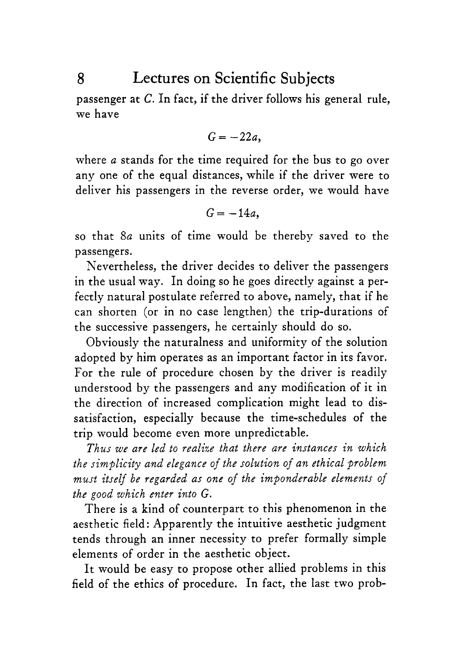passenger at **C.** In fact, if the driver follows his general rule, we have

$$
G=-22a,
$$

where *a* stands for the time required for the bus to go over any one of the equal distances, while if the driver were to deliver his passengers in the reverse order, we would have

$$
G=-14a,
$$

*so* that *Sa* units of time would be thereby saved to the passengers.

Nevertheless, the driver decides to deliver the passengers in the usual way. In doing so he goes directly against a perfectly natural postulate referred to above, namely, that if he can shorten (or in no case lengthen) the trip-durations of the successive passengers, he certainly should do so.

Obviously the naturalness and uniformity of the solution adopted by him operates as an important factor in its favor. For the rule of procedure chosen by the driver is readily understood by the passengers and any modification of it in the direction of increased complication might lead to dissatisfaction, especially because the time-schedules of the trip would become even more unpredictable.

*Thus we are led to realize that there are instances in which the simplicity and elegance of the solution of an ethical problem*  must itself be regarded as one of the imponderable elements of *the good which enter into G.* 

There is a kind of counterpart to this phenomenon in the aesthetic field: Apparently the intuitive aesthetic judgment tends through an inner necessity to prefer formally simple elements of order in the aesthetic object.

It would be easy to propose other allied problems in this field of the ethics of procedure. In fact, the last two prob-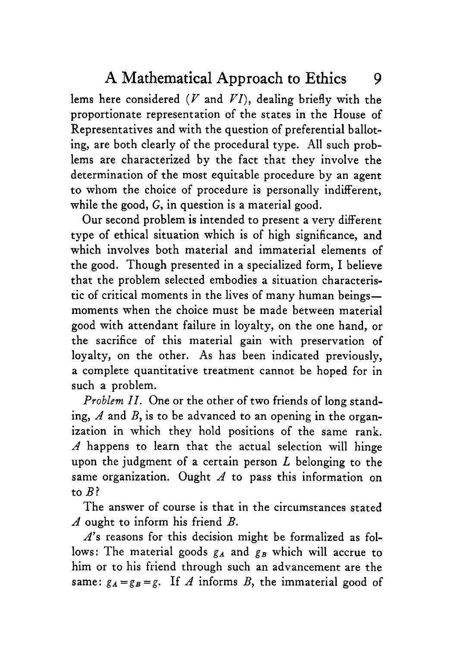lems here considered *(Y* and *VI),* dealing briefly with the proportionate representation of the states in the House of Representatives and with the question of preferential balloting, are both clearly of the procedural type. All such problems are characterized by the fact that they involve the determination of the most equitable procedure by an agent to whom the choice of procedure is personally indifferent, while the good, G, in question is a material good.

Our second problem is intended to present a very different type of ethical situation which is of high significance, and which involves both material and immaterial elements of the good. Though presented in a specialized form, I believe that the problem selected embodies a situation characteristic of critical moments in the lives of many human beingsmoments when the choice must be made between material good with attendant failure in loyalty, on the one hand, or the sacrifice of this material gain with preservation of loyalty, on the other. **As** has been indicated previously, a complete quantitative treatment cannot be hoped for in such a problem.

*Problem 11.* One or the other of two friends of long standing, *A* and *B,* is to be advanced to an opening in the organization in which they hold positions of the same rank. *A* happens to learn that the actual selection will hinge upon the judgment of a certain person *L* belonging to the same organization. Ought *A* to pass this information on to *B?* 

The answer of course is that in the circumstances stated *A* ought to inform his friend *B.* 

*A's* reasons for this decision might be formalized as follows: The material goods  $g_A$  and  $g_B$  which will accrue to him or to his friend through such an advancement are the same:  $g_A = g_B = g$ . If *A* informs *B*, the immaterial good of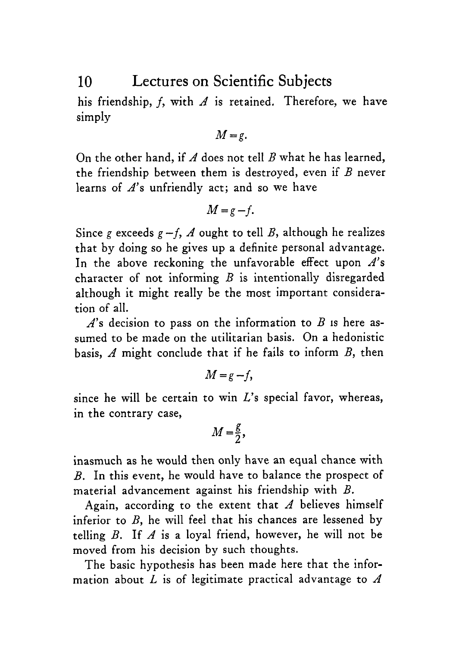his friendship, f, with *A* is retained. Therefore, we have simply

$$
M = g.
$$

On the other hand, if *A* does not tell *B* what he has learned, the friendship between them is destroyed, even if *B* never learns of *A's* unfriendly act; and so we have

$$
M = g - f.
$$

Since g exceeds  $g-f$ , *A* ought to tell *B*, although he realizes that by doing so he gives up a definite personal advantage. In the above reckoning the unfavorable effect upon *A's*  character of not informing *B* is intentionally disregarded although it might really be the most important consideration of all.

 $A$ 's decision to pass on the information to  $B$  is here assumed to be made on the utilitarian basis. On a hedonistic basis, *A* might conclude that if he fails to inform *B,* then

$$
M = g - f,
$$

since he will be certain to win *L's* special favor, whereas, in the contrary case,

$$
M=\frac{g}{2},
$$

inasmuch **as** he would then only have an equal chance with *B.* In this event, he would have to balance the prospect of material advancement against his friendship with *B.* 

Again, according to the extent that *A* believes himself inferior to *B,* he will feel that his chances are lessened by telling *B*. If *A* is a loyal friend, however, he will not be moved from his decision by such thoughts.

The basic hypothesis has been made here that the information about *L* is of legitimate practical advantage to *A*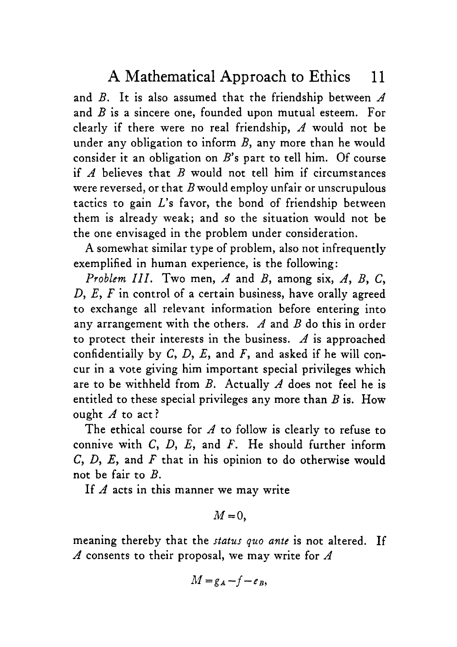and *B.* It is also assumed that the friendship between *A*  and *B* is a sincere one, founded upon mutual esteem. For clearly if there were no real friendship, *A* would not be under any obligation to inform *B,* any more than he would consider it an obligation on *B's* part to tell him. Of course if *A* believes that *B* would not tell him if circumstances were reversed, or that *B* would employ unfair or unscrupulous tactics to gain *L's* favor, the bond of friendship between them is already weak; and so the situation would not be the one envisaged in the problem under consideration.

A somewhat similar type of problem, also not infrequently exemplified in human experience, is the following :

*Problem III.* Two men, *A* and *B,* among six, *A, B,* C, *D, E, F* in control of a certain business, have orally agreed to exchange all relevant information before entering into any arrangement with the others. *A* and *B* do this in order to protect their interests in the business. *A* is approached confidentially by  $C$ ,  $D$ ,  $E$ , and  $F$ , and asked if he will concur in a vote giving him important special privileges which are to be withheld from *B.* Actually *A* does not feel he is entitled to these special privileges any more than *B* is. How ought *A* to act?

The ethical course for *A* to follow is clearly to refuse to connive with C, *D, E,* and *F.* He should further inform C, *D, E,* and *F* that in his opinion to do otherwise would not be fair to *B.* 

If *A* acts in this manner we may write

$$
M=0,
$$

meaning thereby that the *status quo ante* is not altered. If *A* consents to their proposal, we may write for *A* 

$$
M = g_A - f - e_B,
$$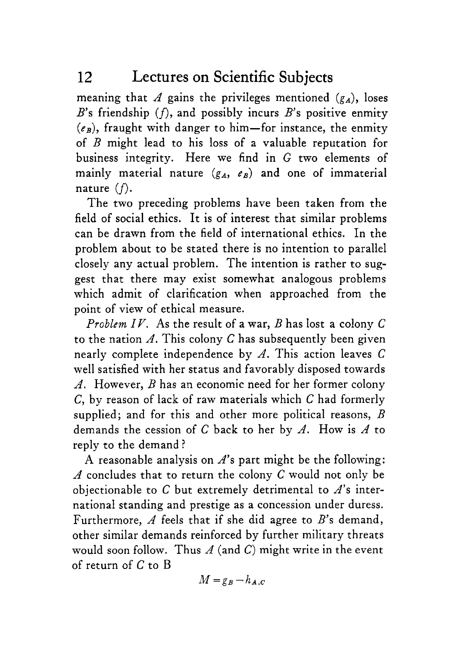meaning that *A* gains the privileges mentioned  $(g_A)$ , loses *B's* friendship *(f>,* and possibly incurs *B's* positive enmity  $(e_B)$ , fraught with danger to him-for instance, the enmity of *B* might lead to his loss of a valuable reputation for business integrity. Here we find in G two elements of mainly material nature  $(g_A, e_B)$  and one of immaterial nature  $(f)$ .

The two preceding problems have been taken from the field of social ethics. It is of interest that similar problems can be drawn from the field of international ethics. In the problem about to be stated there is no intention to parallel closely any actual problem. The intention is rather to suggest that there may exist somewhat analogous problems which admit of clarification when approached from the point of view of ethical measure.

*Problem IK* **As** the result of a war, *B* has lost **a** colony C to the nation *A.* This colony *C* has subsequently been given nearly complete independence by *A.* This action leaves C well satisfied with her status and favorably disposed towards *A.* However, *B* has an economic need for her former colony C, by reason of lack of raw materials which C had formerly supplied; and for this and other more political reasons, *B*  demands the cession of *C* back to her by *A.* How is *A* to reply to the demand ?

**A** reasonable analysis on *A's* part might be the following: *A* concludes that to return the colony *C* would not only be objectionable to *C* but extremely detrimental to *A's* international standing and prestige as a concession under duress. Furthermore, *A* feels that if she did agree to *B's* demand, other similar demands reinforced by further military threats would soon follow. Thus *A* (and C) might write in the event of return of *C* to B

$$
M = g_B - h_{A,C}
$$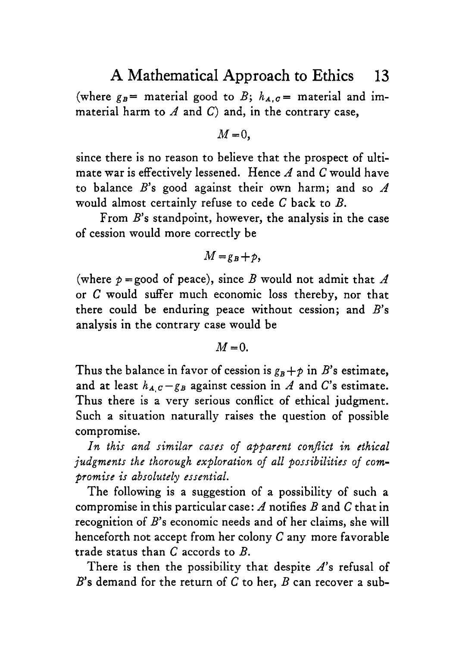(where  $g_B$ = material good to *B*;  $h_{A,C}$ = material and immaterial harm to  $A$  and  $C$ ) and, in the contrary case,

 $M = 0$ .

since there is no reason to believe that the prospect of ultimate war is effectively lessened. Hence *A* and C would have to balance *B's* good against their own harm; and so *A*  would almost certainly refuse to cede C back to *B.* 

From *B's* standpoint, however, the analysis in the case of cession would more correctly be

 $M = g_B + p$ ,

(where  $p = \text{good of peace}$ ), since *B* would not admit that *A* or *C* would suffer much economic loss thereby, nor that there could be enduring peace without cession; and *B's*  analysis in the contrary case would be

 $M = 0$ .

Thus the balance in favor of cession is  $g_B + p$  in *B*'s estimate, and at least  $h_{A,C}-g_{B}$  against cession in *A* and *C*'s estimate. Thus there is a very serious conflict of ethical judgment. Such a situation naturally raises the question of possible compromise.

*In this and similar cases of apparent conjict in ethical judgments the thorough exploration of all possibilities of compromise is absolutely essential.* 

The following is a suggestion of a possibility of such a compromise in this particular case: *A* notifies *B* and C that in recognition of *B's* economic needs and of her claims, she will henceforth not accept from her colony *C* any more favorable trade status than C accords to *B.* 

There is then the possibility that despite *A's* refusal of *B's* demand for the return of *C* to her, *B* can recover a sub-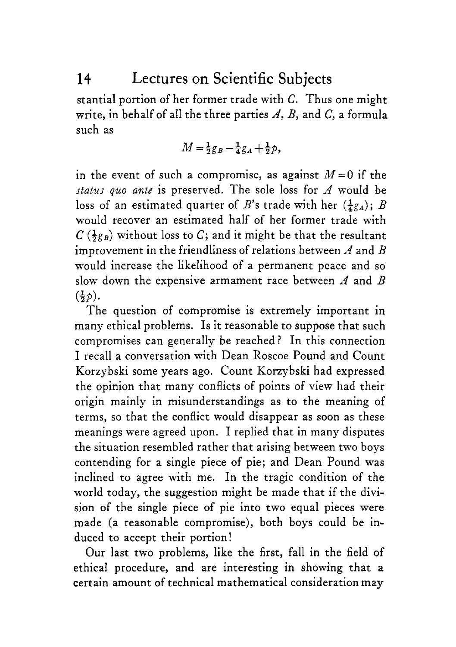stantial portion of her former trade with *C.* Thus one might write, in behalf of all the three parties *A, B,* and C, a formula such as

$$
M=\tfrac{1}{2}g_B-\tfrac{1}{4}g_A+\tfrac{1}{2}p,
$$

in the event of such a compromise, as against  $M=0$  if the *status quo ante* is preserved. The sole loss for *A* would be loss of an estimated quarter of *B*'s trade with her  $(\frac{1}{4}g_A)$ ; *B* would recover an estimated half of her former trade with  $C$  ( $\frac{1}{2}g_B$ ) without loss to *C*; and it might be that the resultant improvement in the friendliness of relations between *A* and *B*  would increase the likelihood of a permanent peace and so slow down the expensive armament race between *A* and *B*   $(\frac{1}{2}\phi)$ .

The question of compromise is extremely important in many ethical problems. Is it reasonable to suppose that such compromises can generally be reached ? In this connection I recall a conversation with Dean Roscoe Pound and Count Korzybski some years ago. Count Korzybski had expressed the opinion that many conflicts of points of view had their origin mainly in misunderstandings as to the meaning of terms, so that the conflict would disappear as soon as these meanings were agreed upon. I replied that in many disputes the situation resembled rather that arising between two boys contending for a single piece of pie; and Dean Pound was inclined to agree with me. In the tragic condition of the world today, the suggestion might be made that if the division of the single piece of pie into two equal pieces were made (a reasonable compromise), both boys could be induced to accept their portion!

Our last two problems, like the first, fall in the field of ethical procedure, and are interesting in showing that *a*  certain amount of technical mathematical consideration may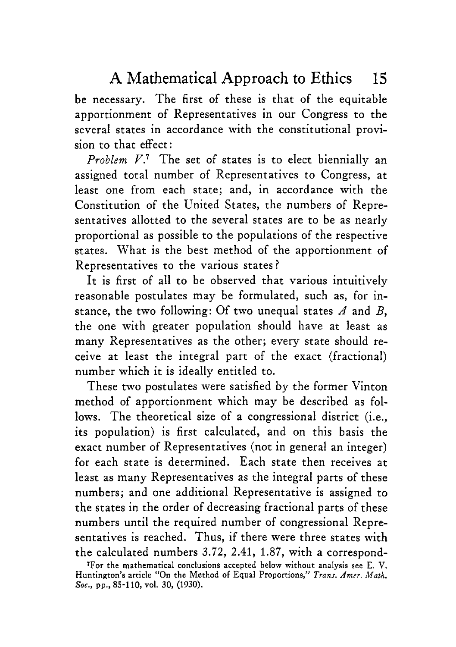be necessary. The first of these is that of the equitable apportionment of Representatives in our Congress to the several states in accordance with the constitutional provision to that effect:

*Problem Y.'* The set of states is to elect biennially an assigned total number of Representatives to Congress, at least one from each state; and, in accordance with the Constitution of the United States, the numbers of Representatives allotted to the several states are to be as nearly proportional as possible to the populations of the respective states. What is the best method of the apportionment of Representatives to the various states ?

It is first of all to be observed that various intuitively reasonable postulates may be formulated, such as, for instance, the two following: Of two unequal states *A* and *B,*  the one with greater population should have at least as many Representatives as the other; every state should receive at least the integral part of the exact (fractional) number which it is ideally entitled to.

These two postulates were satisfied by the former Vinton method of apportionment which may be described as follows. The theoretical size of a congressional district (i.e., its population) is first calculated, and on this basis the exact number of Representatives (not in general an integer) for each state is determined. Each state then receives at least as many Representatives **as** the integral parts of these numbers; and one additional Representative is assigned to the states in the order of decreasing fractional parts of these numbers until the required number of congressional Representatives is reached. Thus, if there were three states with the calculated numbers **3.72,** 2.41, 1.87, with a correspond-

<sup>&#</sup>x27;For **the mathematical conclusions accepted below without analysis see** E. **V. Huntington's article "On the Method of Equal Proportions,"** *Trans. Amrr. Math.*   $Soc., pp., 85-110, vol. 30, (1930).$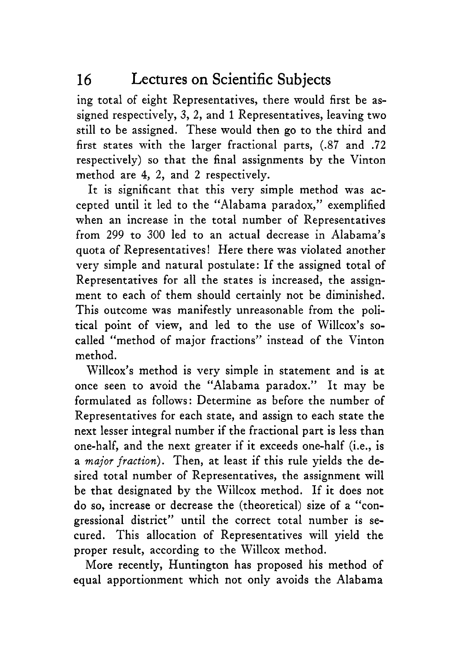ing total of eight Representatives, there would first be assigned respectively, 3, 2, and 1 Representatives, leaving two still to be assigned. These would then go to the third and first states with the larger fractional parts, *(.87* and .72 respectively) so that the final assignments by the Vinton method are **4,** 2, and **2** respectively.

It is significant that this very simple method was accepted until it led to the "Alabama paradox," exemplified when an increase in the total number of Representatives from 299 to 300 led to an actual decrease in Alabama's quota of Representatives! Here there was violated another very simple and natural postulate: If the assigned total of Representatives for all the states is increased, the assignment to each of them should certainly not be diminished. This outcome was manifestly unreasonable from the political point of view, and led to the use of Willcox's socalled "method of major fractions" instead of the Vinton method.

Willcox's method is very simple in statement and is at once seen to avoid the "Alabama paradox." It may be formulated as follows: Determine as before the number of Representatives for each state, and assign to each state the next lesser integral number if the fractional part is less than one-half, and the next greater if it exceeds one-half (i.e., is a *major fraction).* Then, at least if this rule yields the desired total number of Representatives, the assignment will be that designated by the Willcox method. If it does not do so, increase or decrease the (theoretical) size of a "congressional district" until the correct total number is secured. This allocation of Representatives will yield the proper result, according to the Willcox method.

More recently, Huntington has proposed his method of equal apportionment which not only avoids the Alabama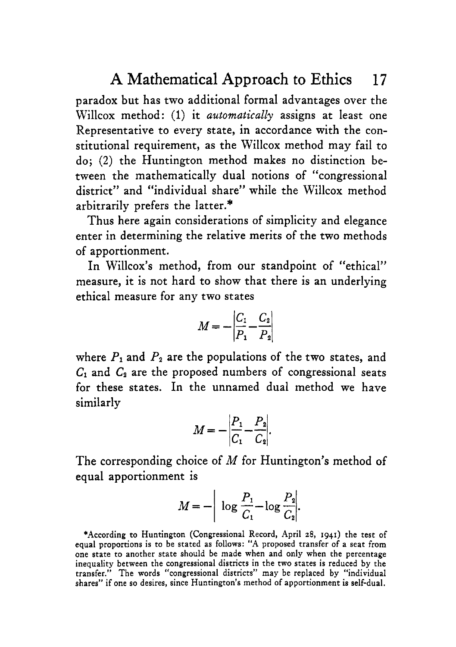paradox but has two additional formal advantages over the Willcox method: (1) it *automatically* assigns at least one Representative to every state, in accordance with the constitutional requirement, as the Willcox method may fail to do; (2) the Huntington method makes no distinction between the mathematically dual notions of "congressional district" and "individual share" while the Willcox method arbitrarily prefers the latter.\*

Thus here again considerations of simplicity and elegance enter in determining the relative merits of the two methods of apportionment.

In Willcox's method, from our standpoint of "ethical" measure, it is not hard to show that there is an underlying ethical measure for any two states

$$
M = -\left|\frac{C_1}{P_1} - \frac{C_2}{P_2}\right|
$$

where  $P_1$  and  $P_2$  are the populations of the two states, and  $C_1$  and  $C_2$  are the proposed numbers of congressional seats for these states. In the unnamed dual method we have similarly

$$
M = -\left|\frac{P_1}{C_1} - \frac{P_2}{C_2}\right|.
$$

The corresponding choice of *M* for Huntington's method of equal apportionment is

$$
M = -\left| \log \frac{P_1}{C_1} - \log \frac{P_2}{C_2} \right|.
$$

\*According to Huntington (Congressional Record, April **28, 1941)** the test of equal proportions is to be stated as follows: "A proposed transfer of a seat from one state to another state should be made when and only when the percentage inequality between the congressional districts in the two states is reduced by the transfer." The words "congressional districts" may be replaced by "individual shares" if **one so** desires, since Huntington's method of apportionment is self-dual.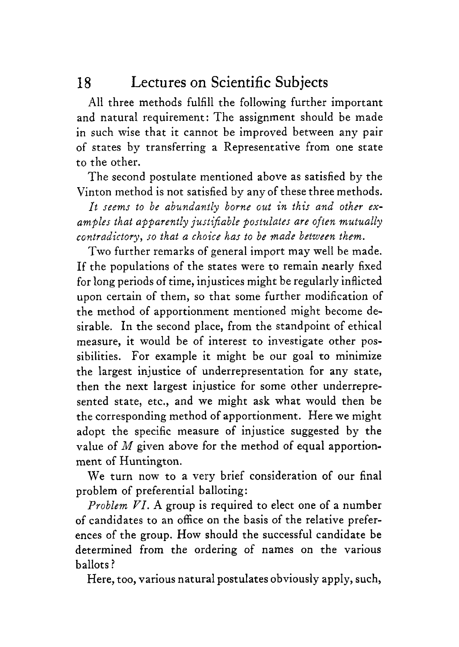All three methods fulfill the following further important and natural requirement: The assignment should be made in such wise that it cannot be improved between any pair of states by transferring a Representative from one state to the other.

The second postulate mentioned above as satisfied by the Vinton method is not satisfied by any of these three methods.

*It seems to be abundantly borne out in this and other examples that apparently justifiable postulates are often mutually contradictory,* so *that a choice has to be made between them.* 

Two further remarks of general import may well be made. If the populations of the states were to remain nearly fixed for long periods of time, injustices might be regularly inflicted upon certain of them, so that some further modification of the method of apportionment mentioned might become desirable. In the second place, from the standpoint of ethical measure, it would be of interest to investigate other possibilities. For example it might be our goal to minimize the largest injustice of underrepresentation for any state, then the next largest injustice for some other underrepresented state, etc., and we might ask what would then be the corresponding method of apportionment. Here we might adopt the specific measure of injustice suggested by the value of *M* given above for the method of equal apportionment of Huntington.

We turn now to a very brief consideration of our final problem of preferential balloting:

*Problem VI.* **A** group is required to elect one of a number of candidates to an office on the basis of the relative preferences of the group. How should the successful candidate **be**  determined from the ordering of names on the various ballots ?

Here, too, various natural postulates obviously apply, such,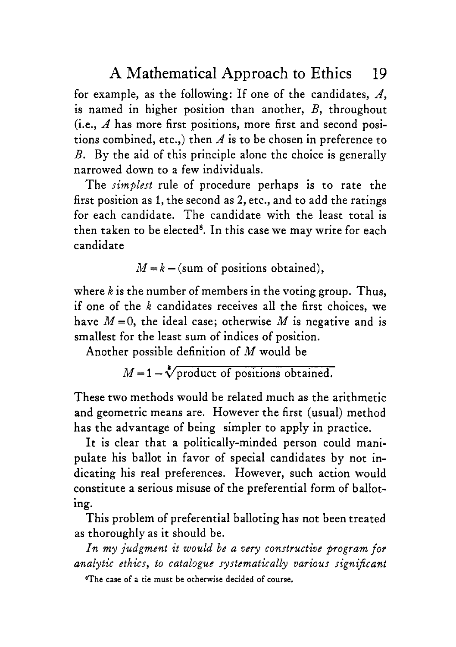for example, as the following: If one of the candidates, *A,*  is named in higher position than another, *B,* throughout (i.e.,  $A$  has more first positions, more first and second positions combined, etc.,) then *A* is to be chosen in preference to *B.* By the aid of this principle alone the choice is generally narrowed down to a few individuals.

The *simplest* rule of procedure perhaps is to rate the first position as 1, the second as **2,** etc., and to add the ratings for each candidate. The candidate with the least total is then taken to be elected'. In this case we may write for each candidate

 $M = k - (sum of positions obtained)$ ,

where *k* is the number of members in the voting group. Thus, if one of the *k* candidates receives all the first choices, we have  $M=0$ , the ideal case; otherwise M is negative and is smallest for the least sum of indices of position.

Another possible definition of *M* would be

 $M = 1 - \sqrt[k]{$  product of positions obtained.

These two methods would be related much as the arithmetic and geometric means are. However the first (usual) method has the advantage of being simpler to apply in practice.

It is clear that a politically-minded person could manipulate his ballot in favor of special candidates by not indicating his real preferences. However, such action would constitute a serious misuse of the preferential form of balloting.

This problem of preferential balloting has not been treated as thoroughly as it should be.

*In my judgment it would be a very constructive program for analytic ethics, to catalogue systematically variow signijcant* 

\*The case of a tie must be otherwise decided of course.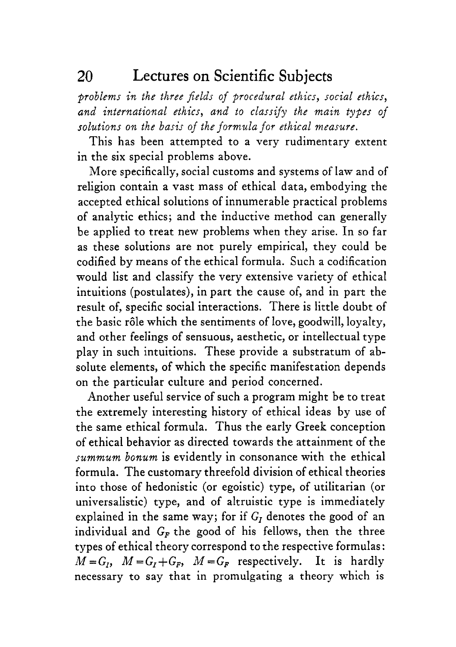*problems in the three fields of procedural ethics, social ethics, and international ethics, and to classify the main types* of *solutions on the basis* of *the formula for ethical measure.* 

This has been attempted to a very rudimentary extent in the six special problems above.

More specifically, social customs and systems of law and of religion contain a vast mass of ethical data, embodying the accepted ethical solutions of innumerable practical problems of analytic ethics; and the inductive method can generally be applied to treat new problems when they arise. In so far as these solutions are not purely empirical, they could be codified by means of the ethical formula. Such a codification would list and classify the very extensive variety of ethical intuitions (postulates), in part the cause of, and in part the result of, specific social interactions. There is little doubt of the basic rôle which the sentiments of love, goodwill, loyalty, and other feelings of sensuous, aesthetic, or intellectual type play in such intuitions. These provide a substratum of absolute elements, of which the specific manifestation depends on the particular culture and period concerned.

Another useful service of such a program might be to treat the extremely interesting history of ethical ideas by use of the same ethical formula. Thus the early Greek conception of ethical behavior as directed towards the attainment of the *summum bonum* is evidently in consonance with the ethical formula. The customary threefold division of ethical theories into those of hedonistic (or egoistic) type, of utilitarian (or universalistic) type, and of altruistic type is immediately explained in the same way; for if  $G<sub>I</sub>$  denotes the good of an individual and  $G_F$  the good of his fellows, then the three types of ethical theory correspond to the respective formulas :  $M = G_i$ ,  $M = G_i + G_i$ ,  $M = G_k$  respectively. It is hardly necessary to say that in promulgating a theory which is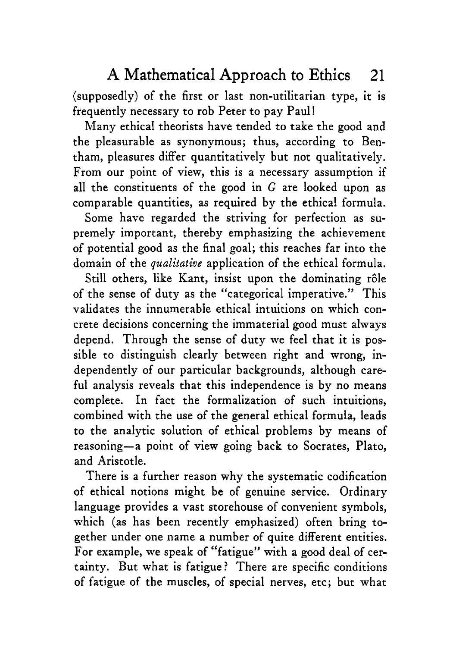(supposedly) of the first or last non-utilitarian type, it is frequently necessary to rob Peter to pay Paul!

Many ethical theorists have tended to take the good and the pleasurable as synonymous; thus, according to Bentham, pleasures differ quantitatively but not qualitatively. From our point of view, this is a necessary assumption if all the constituents of the good in  $G$  are looked upon as comparable quantities, as required by the ethical formula.

Some have regarded the striving for perfection as supremely important, thereby emphasizing the achievement of potential good as the final goal; this reaches far into the domain of the *qualitatioe* application of the ethical formula.

Still others, like Kant, insist upon the dominating rôle of the sense of duty as the "categorical imperative." This validates the innumerable ethical intuitions on which concrete decisions concerning the immaterial good must always depend. Through the sense of duty we feel that it is possible to distinguish clearly between right and wrong, independently of our particular backgrounds, although careful analysis reveals that this independence is by no means complete. In fact the formalization of such intuitions, combined with the use of the general ethical formula, leads to the analytic solution of ethical problems by means of reasoning-a point of view going back to Socrates, Plato, and Aristotle.

There is a further reason why the systematic codification of ethical notions might be of genuine service. Ordinary language provides a vast storehouse of convenient symbols, which (as has been recently emphasized) often bring together under one name a number of quite different entities. For example, we speak of "fatigue" with **a** good deal of certainty. But what is fatigue? There are specific conditions of fatigue of the muscles, of special nerves, etc; but what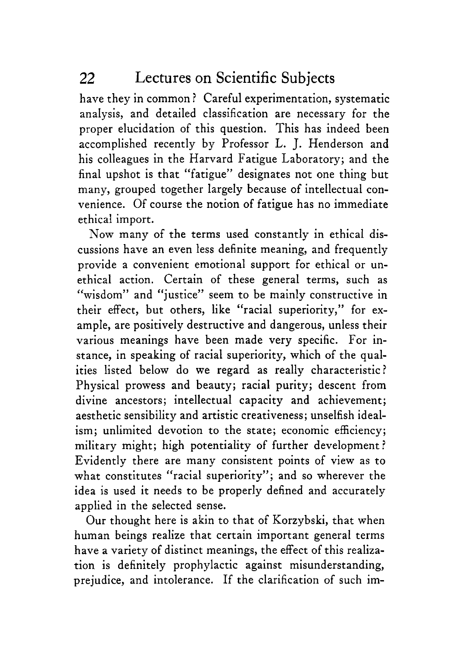have they in common? Careful experimentation, systematic analysis, and detailed classification are necessary for the proper elucidation of this question. This has indeed been accomplished recently by Professor L. J. Henderson and his colleagues in the Harvard Fatigue Laboratory; and the final upshot is that "fatigue" designates not one thing but many, grouped together largely because of intellectual convenience. Of course the notion of fatigue has no immediate ethical import.

Now many of the terms used constantly in ethical discussions have an even less definite meaning, and frequently provide a convenient emotional support for ethical or unethical action. Certain of these general terms, such as "wisdom" and "justice" seem to be mainly constructive in their effect, but others, like "racial superiority," for example, are positively destructive and dangerous, unless their various meanings have been made very specific. For instance, in speaking of racial superiority, which of the qualities listed below do we regard as really characteristic? Physical prowess and beauty; racial purity; descent from divine ancestors; intellectual capacity and achievement; aesthetic sensibility and artistic creativeness; unselfish idealism; unlimited devotion to the state; economic efficiency; military might; high potentiality of further development ? Evidently there are many consistent points of view as to what constitutes "racial superiority"; and so wherever the idea is used it needs to be properly defined and accurately applied in the selected sense.

Our thought here is akin to that of Korzybski, that when human beings realize that certain important general terms have a variety of distinct meanings, the effect of this realization is definitely prophylactic against misunderstanding, prejudice, and intolerance. If the clarification of such im-